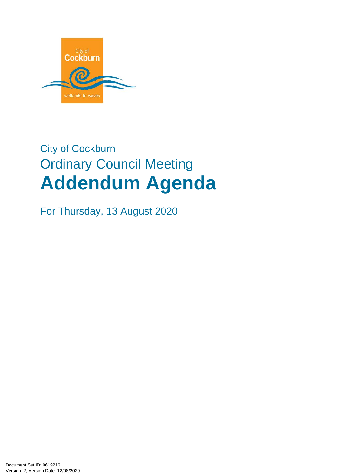

# City of Cockburn Ordinary Council Meeting **Addendum Agenda**

For Thursday, 13 August 2020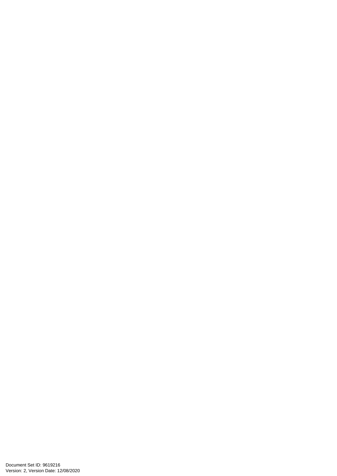Document Set ID: 9619216<br>Version: 2, Version Date: 12/08/2020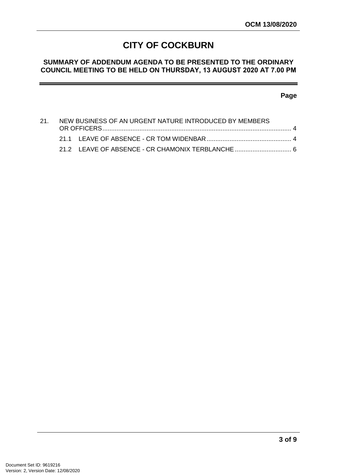## **CITY OF COCKBURN**

### **SUMMARY OF ADDENDUM AGENDA TO BE PRESENTED TO THE ORDINARY COUNCIL MEETING TO BE HELD ON THURSDAY, 13 AUGUST 2020 AT 7.00 PM**

**Page**

| 21. | NEW BUSINESS OF AN URGENT NATURE INTRODUCED BY MEMBERS |  |  |
|-----|--------------------------------------------------------|--|--|
|     |                                                        |  |  |
|     | 21.2 LEAVE OF ABSENCE - CR CHAMONIX TERBLANCHE  6      |  |  |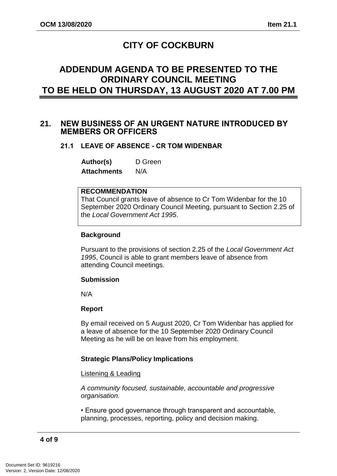## **CITY OF COCKBURN**

## **ADDENDUM AGENDA TO BE PRESENTED TO THE ORDINARY COUNCIL MEETING TO BE HELD ON THURSDAY, 13 AUGUST 2020 AT 7.00 PM**

### <span id="page-3-0"></span>**21. NEW BUSINESS OF AN URGENT NATURE INTRODUCED BY MEMBERS OR OFFICERS**

#### <span id="page-3-1"></span>**21.1 LEAVE OF ABSENCE - CR TOM WIDENBAR**

**Author(s)** D Green

**Attachments** N/A

#### **RECOMMENDATION**

That Council grants leave of absence to Cr Tom Widenbar for the 10 September 2020 Ordinary Council Meeting, pursuant to Section 2.25 of the *Local Government Act 1995*.

#### **Background**

Pursuant to the provisions of section 2.25 of the *Local Government Act 1995*, Council is able to grant members leave of absence from attending Council meetings.

#### **Submission**

N/A

#### **Report**

By email received on 5 August 2020, Cr Tom Widenbar has applied for a leave of absence for the 10 September 2020 Ordinary Council Meeting as he will be on leave from his employment.

#### **Strategic Plans/Policy Implications**

#### Listening & Leading

*A community focused, sustainable, accountable and progressive organisation.*

• Ensure good governance through transparent and accountable, planning, processes, reporting, policy and decision making.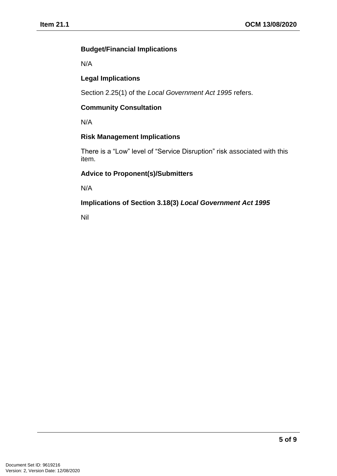#### **Budget/Financial Implications**

N/A

#### **Legal Implications**

Section 2.25(1) of the *Local Government Act 1995* refers.

#### **Community Consultation**

N/A

#### **Risk Management Implications**

There is a "Low" level of "Service Disruption" risk associated with this item.

#### **Advice to Proponent(s)/Submitters**

N/A

**Implications of Section 3.18(3)** *Local Government Act 1995*

Nil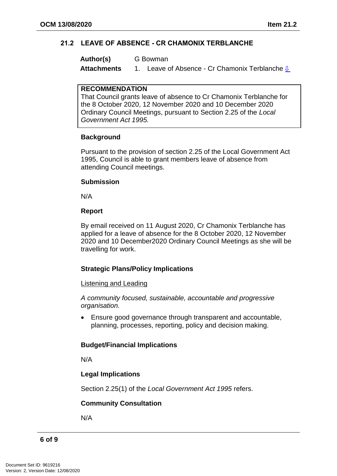#### <span id="page-5-0"></span>**21.2 LEAVE OF ABSENCE - CR CHAMONIX TERBLANCHE**

**Author(s)** G Bowman **Attachments** 1. Leave of Absence - Cr Chamonix Terblanche <u>↓</u>

#### **RECOMMENDATION**

That Council grants leave of absence to Cr Chamonix Terblanche for the 8 October 2020, 12 November 2020 and 10 December 2020 Ordinary Council Meetings, pursuant to Section 2.25 of the *Local Government Act 1995.*

#### **Background**

Pursuant to the provision of section 2.25 of the Local Government Act 1995, Council is able to grant members leave of absence from attending Council meetings.

#### **Submission**

N/A

#### **Report**

By email received on 11 August 2020, Cr Chamonix Terblanche has applied for a leave of absence for the 8 October 2020, 12 November 2020 and 10 December2020 Ordinary Council Meetings as she will be travelling for work.

#### **Strategic Plans/Policy Implications**

#### Listening and Leading

*A community focused, sustainable, accountable and progressive organisation.*

 Ensure good governance through transparent and accountable, planning, processes, reporting, policy and decision making.

#### **Budget/Financial Implications**

N/A

#### **Legal Implications**

Section 2.25(1) of the *Local Government Act 1995* refers.

#### **Community Consultation**

N/A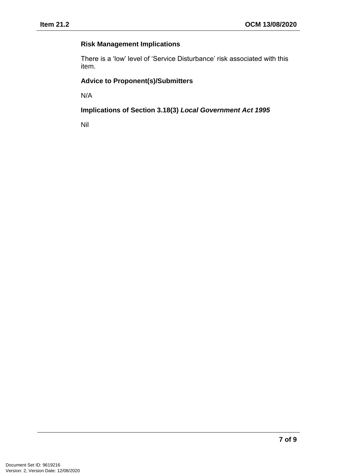#### **Risk Management Implications**

There is a 'low' level of 'Service Disturbance' risk associated with this item.

#### **Advice to Proponent(s)/Submitters**

N/A

#### **Implications of Section 3.18(3)** *Local Government Act 1995*

Nil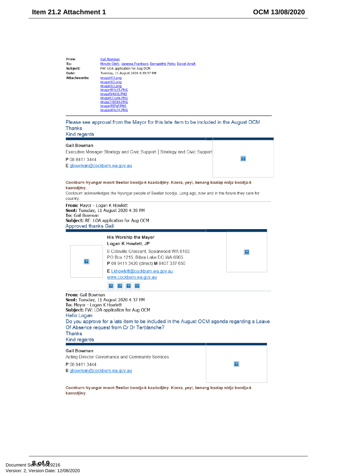<span id="page-7-0"></span>From: To: Subject: Date: **Attachments:**  **Gail Bowman** Minute Clerk; Vanessa Frankson; Bernadette Pinto; Daniel Arndt FW: LOA application for Aug OCM Tuesday, 11 August 2020 4:39:57 PM image001.png image002.png<br>image003.png imageoos.phy<br>image484a15.PNG<br>imagefe4101.PNG imagere+101.PNG<br>image633ade.PNG<br>image748580.PNG image0fd7af.PNG<br>imagee64a34.PNG

Please see approval from the Mayor for this late item to be included in the August OCM **Thanks** 

| Kind regards                                                                                    |                |
|-------------------------------------------------------------------------------------------------|----------------|
| <b>Gail Bowman</b><br>Executive Manager Strategy and Civic Support   Strategy and Civic Support |                |
| P 08 9411 3444                                                                                  | $\overline{2}$ |
| E gbowman@cockburn.wa.gov.au                                                                    |                |

Cockburn Nyungar moort Beeliar boodja-k kaadadjiny. Koora, yeyi, benang baalap nidja boodja-k kaaradjiny.

Cockburn acknowledges the Nyungar people of Beeliar boodja. Long ago, now and in the future they care for country

From: Mayor - Logan K Howlett Sent: Tuesday, 11 August 2020 4:39 PM To: Gail Bowman Subject: RE: LOA application for Aug OCM Approved thanks Gail.

|   | His Worship the Mayor<br>Logan K Howlett, JP                                                                            |           |
|---|-------------------------------------------------------------------------------------------------------------------------|-----------|
| 2 | 9 Coleville Crescent, Spearwood WA 6163<br>PO Box 1215, Bibra Lake DC WA 6965<br>P 08 9411 3420 (direct) M 0407 337 650 | $\vert$ ? |
|   | E Lkhowlett@cockburn.wa.gov.au<br>www.cockburn.wa.gov.au                                                                |           |

From: Gail Bowman Sent: Tuesday, 11 August 2020 4:37 PM To: Mayor - Logan K Howlett Subject: FW: LOA application for Aug OCM Hello Logan Do you approve for a late item to be included in the August OCM agenda regarding a Leave Of Absence request from Cr Dr Terblanche? **Thanks** Kind regards

#### **Gail Bowman**

| Acting Director Governance and Community Services |   |
|---------------------------------------------------|---|
| P 08 9411 3444                                    | 2 |
| E gbowman@cockburn.wa.gov.au                      |   |
|                                                   |   |
|                                                   |   |

Cockburn Nyungar moort Beeliar boodja-k kaadadjiny. Koora, yeyi, benang baalap nidja boodja-k kaaradjiny.